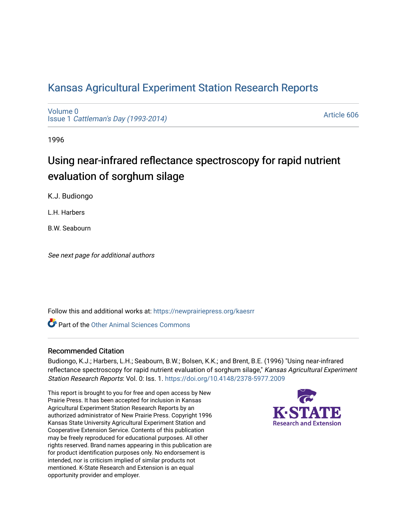# [Kansas Agricultural Experiment Station Research Reports](https://newprairiepress.org/kaesrr)

[Volume 0](https://newprairiepress.org/kaesrr/vol0) Issue 1 [Cattleman's Day \(1993-2014\)](https://newprairiepress.org/kaesrr/vol0/iss1) 

[Article 606](https://newprairiepress.org/kaesrr/vol0/iss1/606) 

1996

# Using near-infrared reflectance spectroscopy for rapid nutrient evaluation of sorghum silage

K.J. Budiongo

L.H. Harbers

B.W. Seabourn

See next page for additional authors

Follow this and additional works at: [https://newprairiepress.org/kaesrr](https://newprairiepress.org/kaesrr?utm_source=newprairiepress.org%2Fkaesrr%2Fvol0%2Fiss1%2F606&utm_medium=PDF&utm_campaign=PDFCoverPages) 

**C** Part of the [Other Animal Sciences Commons](http://network.bepress.com/hgg/discipline/82?utm_source=newprairiepress.org%2Fkaesrr%2Fvol0%2Fiss1%2F606&utm_medium=PDF&utm_campaign=PDFCoverPages)

#### Recommended Citation

Budiongo, K.J.; Harbers, L.H.; Seabourn, B.W.; Bolsen, K.K.; and Brent, B.E. (1996) "Using near-infrared reflectance spectroscopy for rapid nutrient evaluation of sorghum silage," Kansas Agricultural Experiment Station Research Reports: Vol. 0: Iss. 1.<https://doi.org/10.4148/2378-5977.2009>

This report is brought to you for free and open access by New Prairie Press. It has been accepted for inclusion in Kansas Agricultural Experiment Station Research Reports by an authorized administrator of New Prairie Press. Copyright 1996 Kansas State University Agricultural Experiment Station and Cooperative Extension Service. Contents of this publication may be freely reproduced for educational purposes. All other rights reserved. Brand names appearing in this publication are for product identification purposes only. No endorsement is intended, nor is criticism implied of similar products not mentioned. K-State Research and Extension is an equal opportunity provider and employer.

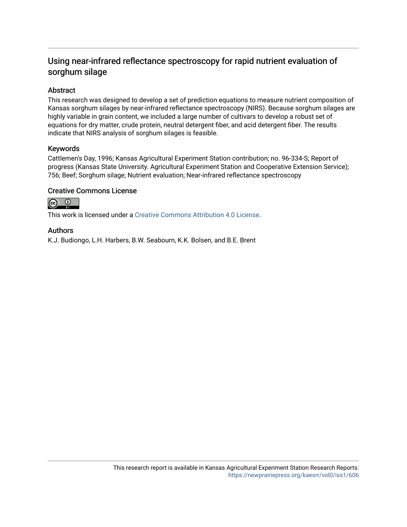# Using near-infrared reflectance spectroscopy for rapid nutrient evaluation of sorghum silage

# Abstract

This research was designed to develop a set of prediction equations to measure nutrient composition of Kansas sorghum silages by near-infrared reflectance spectroscopy (NIRS). Because sorghum silages are highly variable in grain content, we included a large number of cultivars to develop a robust set of equations for dry matter, crude protein, neutral detergent fiber, and acid detergent fiber. The results indicate that NIRS analysis of sorghum silages is feasible.

## Keywords

Cattlemen's Day, 1996; Kansas Agricultural Experiment Station contribution; no. 96-334-S; Report of progress (Kansas State University. Agricultural Experiment Station and Cooperative Extension Service); 756; Beef; Sorghum silage; Nutrient evaluation; Near-infrared reflectance spectroscopy

## Creative Commons License



This work is licensed under a [Creative Commons Attribution 4.0 License](https://creativecommons.org/licenses/by/4.0/).

### Authors

K.J. Budiongo, L.H. Harbers, B.W. Seabourn, K.K. Bolsen, and B.E. Brent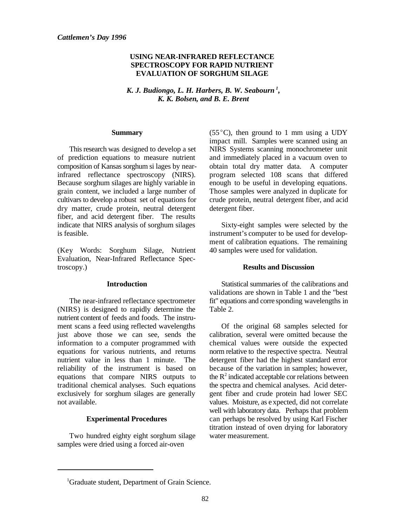#### **USING NEAR-INFRARED REFLECTANCE SPECTROSCOPY FOR RAPID NUTRIENT EVALUATION OF SORGHUM SILAGE**

 $K.$  J. Budiongo, L. H. Harbers, B. W. Seabourn<sup>1</sup>, *K. K. Bolsen, and B. E. Brent*

#### **Summary**

This research was designed to develop a set of prediction equations to measure nutrient composition of Kansas sorghum si lages by nearinfrared reflectance spectroscopy (NIRS). Because sorghum silages are highly variable in grain content, we included a large number of cultivars to develop a robust set of equations for dry matter, crude protein, neutral detergent fiber, and acid detergent fiber. The results indicate that NIRS analysis of sorghum silages is feasible.

(Key Words: Sorghum Silage, Nutrient Evaluation, Near-Infrared Reflectance Spectroscopy.)

#### **Introduction**

The near-infrared reflectance spectrometer (NIRS) is designed to rapidly determine the nutrient content of feeds and foods. The instrument scans a feed using reflected wavelengths just above those we can see, sends the information to a computer programmed with equations for various nutrients, and returns nutrient value in less than 1 minute. The reliability of the instrument is based on equations that compare NIRS outputs to traditional chemical analyses. Such equations exclusively for sorghum silages are generally not available.

#### **Experimental Procedures**

Two hundred eighty eight sorghum silage samples were dried using a forced air-oven

(55 $^{\circ}$ C), then ground to 1 mm using a UDY impact mill. Samples were scanned using an NIRS Systems scanning monochrometer unit and immediately placed in a vacuum oven to obtain total dry matter data. A computer program selected 108 scans that differed enough to be useful in developing equations. Those samples were analyzed in duplicate for crude protein, neutral detergent fiber, and acid detergent fiber.

Sixty-eight samples were selected by the instrument's computer to be used for development of calibration equations. The remaining 40 samples were used for validation.

#### **Results and Discussion**

Statistical summaries of the calibrations and validations are shown in Table 1 and the "best fit" equations and corre sponding wavelengths in Table 2.

Of the original 68 samples selected for calibration, several were omitted because the chemical values were outside the expected norm relative to the respective spectra. Neutral detergent fiber had the highest standard error because of the variation in samples; however, the  $R<sup>2</sup>$  indicated acceptable cor relations between the spectra and chemical analyses. Acid detergent fiber and crude protein had lower SEC values. Moisture, as e xpected, did not correlate well with laboratory data. Perhaps that problem can perhaps be resolved by using Karl Fischer titration instead of oven drying for laboratory water measurement.

<sup>&</sup>lt;sup>1</sup>Graduate student, Department of Grain Science.